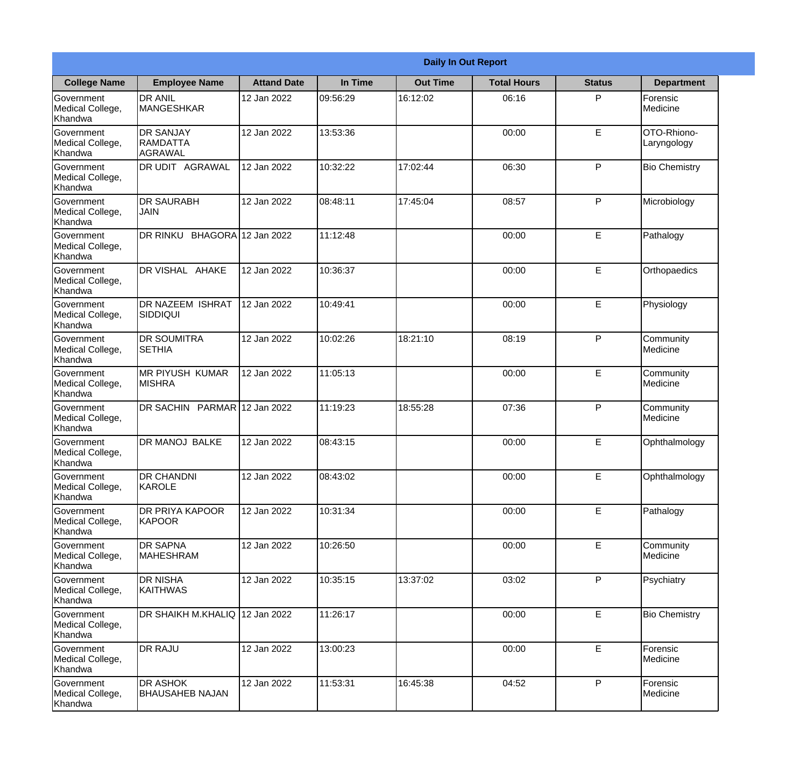| <b>Daily In Out Report</b>                       |                                                       |                     |          |                 |                    |               |                            |
|--------------------------------------------------|-------------------------------------------------------|---------------------|----------|-----------------|--------------------|---------------|----------------------------|
| <b>College Name</b>                              | <b>Employee Name</b>                                  | <b>Attand Date</b>  | In Time  | <b>Out Time</b> | <b>Total Hours</b> | <b>Status</b> | <b>Department</b>          |
| Government<br>Medical College,<br>Khandwa        | <b>DR ANIL</b><br>MANGESHKAR                          | 12 Jan 2022         | 09:56:29 | 16:12:02        | 06:16              | P             | Forensic<br>Medicine       |
| Government<br>Medical College,<br>Khandwa        | <b>DR SANJAY</b><br><b>RAMDATTA</b><br><b>AGRAWAL</b> | 12 Jan 2022         | 13:53:36 |                 | 00:00              | E             | OTO-Rhiono-<br>Laryngology |
| Government<br>Medical College,<br>Khandwa        | DR UDIT AGRAWAL                                       | 12 Jan 2022         | 10:32:22 | 17:02:44        | 06:30              | P             | <b>Bio Chemistry</b>       |
| Government<br>Medical College,<br>Khandwa        | <b>DR SAURABH</b><br><b>JAIN</b>                      | 12 Jan 2022         | 08:48:11 | 17:45:04        | 08:57              | P             | Microbiology               |
| Government<br>Medical College,<br>Khandwa        | DR RINKU                                              | BHAGORA 12 Jan 2022 | 11:12:48 |                 | 00:00              | E             | Pathalogy                  |
| <b>Government</b><br>Medical College,<br>Khandwa | DR VISHAL AHAKE                                       | 12 Jan 2022         | 10:36:37 |                 | 00:00              | E             | Orthopaedics               |
| <b>Government</b><br>Medical College,<br>Khandwa | DR NAZEEM ISHRAT<br><b>SIDDIQUI</b>                   | 12 Jan 2022         | 10:49:41 |                 | 00:00              | E             | Physiology                 |
| Government<br>Medical College,<br>Khandwa        | <b>DR SOUMITRA</b><br><b>SETHIA</b>                   | 12 Jan 2022         | 10:02:26 | 18:21:10        | 08:19              | P             | Community<br>Medicine      |
| Government<br>Medical College,<br>Khandwa        | <b>MR PIYUSH KUMAR</b><br><b>MISHRA</b>               | 12 Jan 2022         | 11:05:13 |                 | 00:00              | E             | Community<br>Medicine      |
| Government<br>Medical College,<br>Khandwa        | DR SACHIN PARMAR 12 Jan 2022                          |                     | 11:19:23 | 18:55:28        | 07:36              | P             | Community<br>Medicine      |
| Government<br>Medical College,<br>Khandwa        | DR MANOJ BALKE                                        | 12 Jan 2022         | 08:43:15 |                 | 00:00              | E             | Ophthalmology              |
| Government<br>Medical College,<br>Khandwa        | <b>DR CHANDNI</b><br>KAROLE                           | 12 Jan 2022         | 08:43:02 |                 | 00:00              | E             | Ophthalmology              |
| Government<br>Medical College,<br>Khandwa        | DR PRIYA KAPOOR<br><b>KAPOOR</b>                      | 12 Jan 2022         | 10:31:34 |                 | 00:00              | E             | Pathalogy                  |
| Government<br>Medical College,<br>Khandwa        | DR SAPNA<br>MAHESHRAM                                 | 12 Jan 2022         | 10:26:50 |                 | 00:00              | E             | Community<br>Medicine      |
| Government<br>Medical College,<br>Khandwa        | DR NISHA<br><b>KAITHWAS</b>                           | 12 Jan 2022         | 10:35:15 | 13:37:02        | 03:02              | P             | Psychiatry                 |
| Government<br>Medical College,<br>Khandwa        | DR SHAIKH M.KHALIQ 12 Jan 2022                        |                     | 11:26:17 |                 | 00:00              | $\mathsf E$   | <b>Bio Chemistry</b>       |
| Government<br>Medical College,<br>Khandwa        | DR RAJU                                               | 12 Jan 2022         | 13:00:23 |                 | 00:00              | E             | Forensic<br>Medicine       |
| Government<br>Medical College,<br>Khandwa        | DR ASHOK<br><b>BHAUSAHEB NAJAN</b>                    | 12 Jan 2022         | 11:53:31 | 16:45:38        | 04:52              | P             | Forensic<br>Medicine       |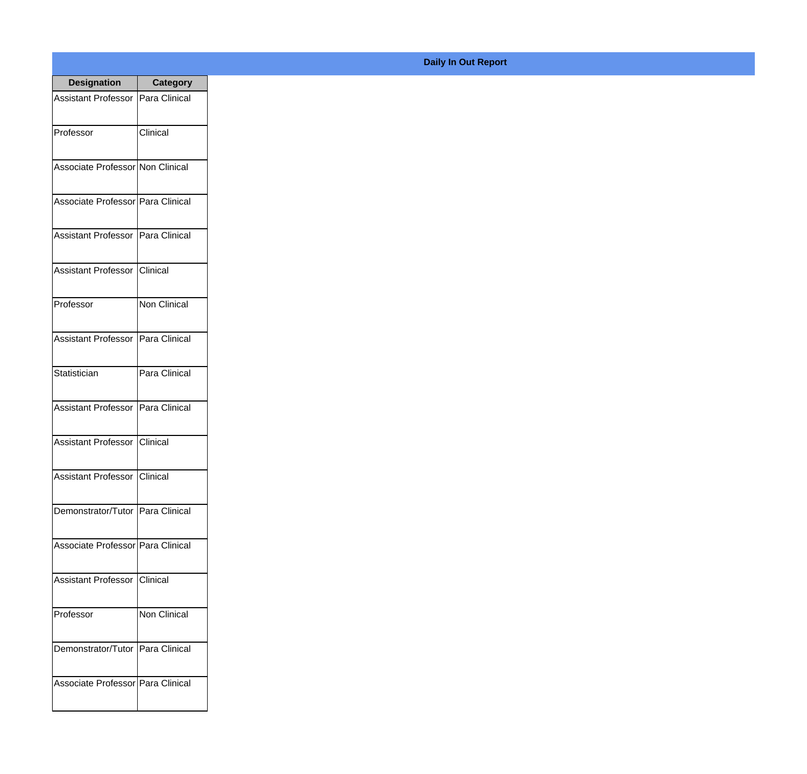| <b>Designation</b>                  | <b>Category</b>   |
|-------------------------------------|-------------------|
| Assistant Professor   Para Clinical |                   |
| Professor                           | Clinical          |
| Associate Professor Non Clinical    |                   |
| Associate Professor Para Clinical   |                   |
| Assistant Professor   Para Clinical |                   |
| Assistant Professor   Clinical      |                   |
| Professor                           | Non Clinical      |
| Assistant Professor   Para Clinical |                   |
| Statistician                        | Para Clinical     |
| <b>Assistant Professor</b>          | Para Clinical     |
| <b>Assistant Professor</b>          | <b>I</b> Clinical |
| Assistant Professor Clinical        |                   |
| Demonstrator/Tutor   Para Clinical  |                   |
| Associate Professor Para Clinical   |                   |
| Assistant Professor   Clinical      |                   |
| Professor                           | Non Clinical      |
| Demonstrator/Tutor   Para Clinical  |                   |
| Associate Professor Para Clinical   |                   |

## **Daily In Out Report**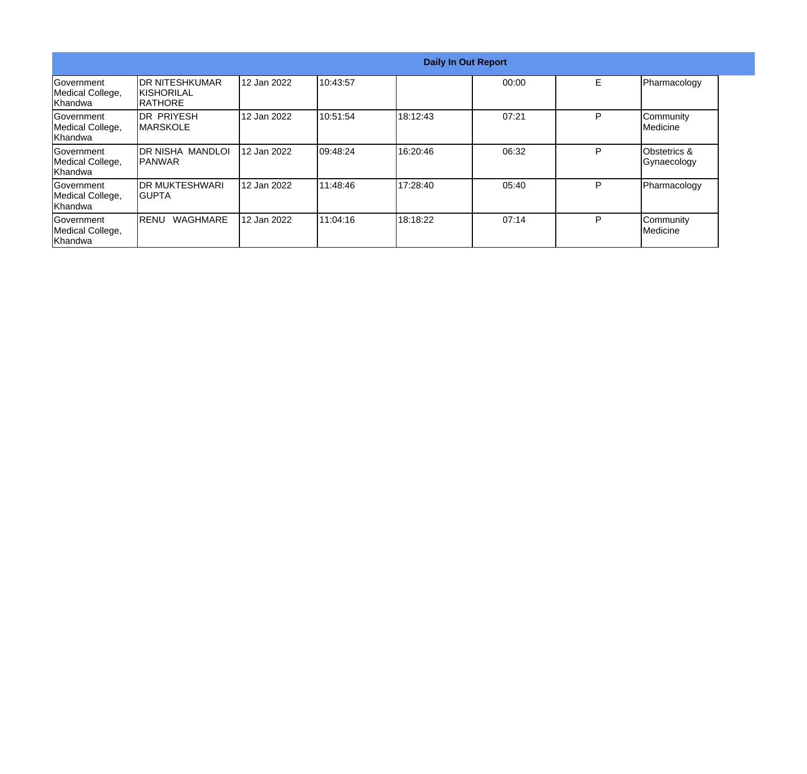|                                                   |                                                  |             |           |          | <b>Daily In Out Report</b> |   |                                        |  |
|---------------------------------------------------|--------------------------------------------------|-------------|-----------|----------|----------------------------|---|----------------------------------------|--|
| lGovernment<br>Medical College,<br><b>Khandwa</b> | IDR NITESHKUMAR<br><b>KISHORILAL</b><br>IRATHORE | 12 Jan 2022 | 10:43:57  |          | 00:00                      | E | Pharmacology                           |  |
| lGovernment<br>Medical College,<br>Khandwa        | IDR PRIYESH<br><b>IMARSKOLE</b>                  | 12 Jan 2022 | 10:51:54  | 18:12:43 | 07:21                      | P | Community<br>Medicine                  |  |
| lGovernment<br>Medical College,<br><b>Khandwa</b> | IDR NISHA MANDLOI<br><b>IPANWAR</b>              | 12 Jan 2022 | 109:48:24 | 16:20:46 | 06:32                      | P | <b>Obstetrics &amp;</b><br>Gynaecology |  |
| Government<br>Medical College,<br><b>Khandwa</b>  | IDR MUKTESHWARI<br>IGUPTA                        | 12 Jan 2022 | 111:48:46 | 17:28:40 | 05:40                      | P | Pharmacology                           |  |
| Government<br>Medical College,<br><b>Khandwa</b>  | <b>WAGHMARE</b><br> RENU                         | 12 Jan 2022 | 111:04:16 | 18:18:22 | 07:14                      | P | Community<br><b>I</b> Medicine         |  |